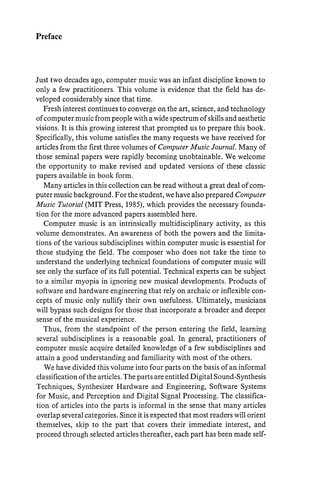## Preface

Just two decades ago, computer music was an infant discipline known to only a few practitioners. This volume is evidence that the field has developed considerably since that time.

Fresh interest continues to converge on the art, science, and technology of computer music from people with a wide spectrum of skills and aesthetic visions. It is this growing interest that prompted us to prepare this book. Specifically, this volume satisfies the many requests we have received for articles from the first three volumes of *Computer Music Journal*. Many of those seminal papers were rapidly becoming unobtainable. We welcome the opportunity to make revised and updated versions of these classic papers available in book form.

Many articles in this collection can be read without a great deal of computer music background. For the student, we have also prepared *Computer Music Tutorial* (MIT Press, 1985), which provides the necessary foundation for the more advanced papers assembled here.

Computer music is an intrinsically multidisciplinary activity, as this volume demonstrates. An awareness of both the powers and the limitations of the various subdisciplines within computer music is essential for those studying the field. The composer who does not take the time to understand the underlying technical foundations of computer music will see only the surface of its full potential. Technical experts can be subject to a similar myopia in ignoring new musical developments . Products of software and hardware engineering that rely on archaic or inflexible concepts of music only nullify their own usefulness. Ultimately, musicians will bypass such designs for those that incorporate a broader and deeper sense of the musical experience.

Thus, from the standpoint of the person entering the field, learning several subdisciplines is a reasonable goal. In general, practitioners of computer music acquire detailed knowledge of a few subdisciplines and attain a good understanding and familiarity with most of the others.

We have divided this volume into four parts on the basis of an informal classification of the articles . The parts are entitled Digital Sound -Synthesis Techniques, Synthesizer Hardware and Engineering, Software Systems for Music, and Perception and Digital Signal Processing. The classification of articles into the parts is informal in the sense that many articles overlap several categories . Since it is expected that most readers will orient themselves, skip to the part that covers their immediate interest, and proceed through selected articles thereafter , each part has been made self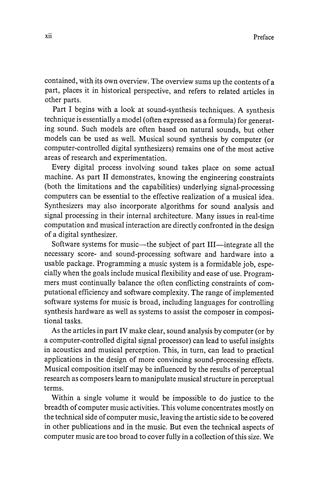contained, with its own overview. The overview sums up the contents of a part, places it in historical perspective, and refers to related articles in other parts.

Part I begins with a look at sound-synthesis techniques. A synthesis technique is essentially a model (often expressed as a formula) for generating sound. Such models are often based on natural sounds, but other models can be used as well. Musical sound synthesis by computer (or computer-controlled digital synthesizers) remains one of the most active areas of research and experimentation.

Every digital process involving sound takes place on some actual machine. As part II demonstrates, knowing the engineering constraints (both the limitations and the capabilities) underlying signal-processing computers can be essential to the effective realization of a musical idea. Synthesizers may also incorporate algorithms for sound analysis and signal processing in their internal architecture. Many issues in real-time computation and musical interaction are directly confronted in the design of a digital synthesizer .

Software systems for music-the subject of part III-integrate all the necessary score- and sound -processing software and hardware into a usable package. Programming a music system is a formidable job, especially when the goals include musical flexibility and ease of use. Programmers must continually balance the often conflicting constraints of computational efficiency and software complexity . The range of implemented software systems for music is broad, including languages for controlling synthesis hardware as well as systems to assist the composer in compositional tasks.

As the articles in part IV make clear, sound analysis by computer (or by a computer-controlled digital signal processor) can lead to useful insights in acoustics and musical perception. This, in turn, can lead to practical applications in the design of more convincing sound-processing effects. Musical composition itself may be influenced by the results of perceptual research as composers learn to manipulate musical structure in perceptual terms.

Within a single volume it would be impossible to do justice to the breadth of computer music activities . This volume concentrates mostly on the technical side of computer music , leaving the artistic side to be covered in other publications and in the music . But even the technical aspects of computer music are too broad to cover fully in a collection of this size. We